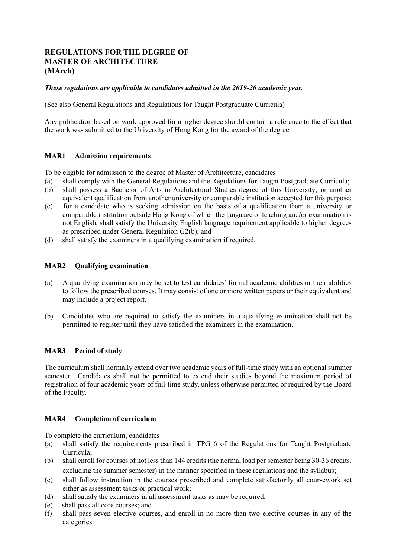# **REGULATIONS FOR THE DEGREE OF MASTER OF ARCHITECTURE (MArch)**

#### *These regulations are applicable to candidates admitted in the 2019-20 academic year.*

(See also General Regulations and Regulations for Taught Postgraduate Curricula)

 Any publication based on work approved for a higher degree should contain a reference to the effect that the work was submitted to the University of Hong Kong for the award of the degree.

### **MAR1 Admission requirements**

To be eligible for admission to the degree of Master of Architecture, candidates

- (a) shall comply with the General Regulations and the Regulations for Taught Postgraduate Curricula;
- $(b)$  equivalent qualification from another university or comparable institution accepted for this purpose; shall possess a Bachelor of Arts in Architectural Studies degree of this University; or another
- comparable institution outside Hong Kong of which the language of teaching and/or examination is not English, shall satisfy the University English language requirement applicable to higher degrees as prescribed under General Regulation G2(b); and (c) for a candidate who is seeking admission on the basis of a qualification from a university or
- (d) shall satisfy the examiners in a qualifying examination if required.

#### **MAR2 Oualifying examination**

- (a) A qualifying examination may be set to test candidates' formal academic abilities or their abilities to follow the prescribed courses. It may consist of one or more written papers or their equivalent and may include a project report.
- $(b)$  permitted to register until they have satisfied the examiners in the examination. (b) Candidates who are required to satisfy the examiners in a qualifying examination shall not be

#### **MAR3 Period of study**

 The curriculum shall normally extend over two academic years of full-time study with an optional summer semester. Candidates shall not be permitted to extend their studies beyond the maximum period of registration of four academic years of full-time study, unless otherwise permitted or required by the Board of the Faculty.

## **MAR4 Completion of curriculum**

To complete the curriculum, candidates

- (a) shall satisfy the requirements prescribed in TPG 6 of the Regulations for Taught Postgraduate Curricula;
- (b) shall enroll for courses of not less than 144 credits (the normal load per semester being 30-36 credits, excluding the summer semester) in the manner specified in these regulations and the syllabus;
- (c) shall follow instruction in the courses prescribed and complete satisfactorily all coursework set either as assessment tasks or practical work;
- (d) shall satisfy the examiners in all assessment tasks as may be required;
- $(e)$ shall pass all core courses; and
- (f) shall pass seven elective courses, and enroll in no more than two elective courses in any of the categories: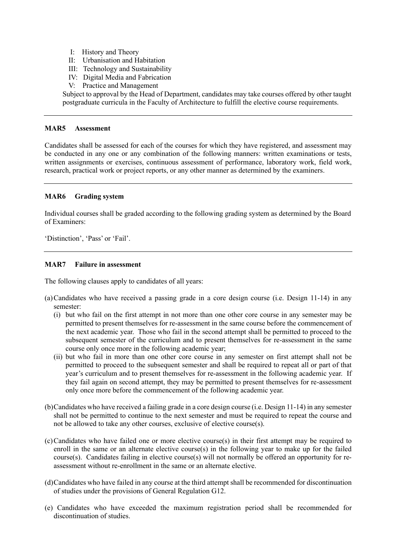- I: History and Theory
- II: Urbanisation and Habitation
- III: Technology and Sustainability
- IV: Digital Media and Fabrication
- V: Practice and Management

 Subject to approval by the Head of Department, candidates may take courses offered by other taught postgraduate curricula in the Faculty of Architecture to fulfill the elective course requirements.

#### **MAR5 MAR5 Assessment**

 Candidates shall be assessed for each of the courses for which they have registered, and assessment may be conducted in any one or any combination of the following manners: written examinations or tests, written assignments or exercises, continuous assessment of performance, laboratory work, field work, research, practical work or project reports, or any other manner as determined by the examiners.

#### **MAR6 Grading system**

Individual courses shall be graded according to the following grading system as determined by the Board of Examiners:

'Distinction', 'Pass' or 'Fail'.

#### MAR7 **Failure in assessment**

The following clauses apply to candidates of all years:

- (a)Candidates who have received a passing grade in a core design course (i.e. Design 11-14) in any semester:
	- (i) but who fail on the first attempt in not more than one other core course in any semester may be permitted to present themselves for re-assessment in the same course before the commencement of the next academic year. Those who fail in the second attempt shall be permitted to proceed to the subsequent semester of the curriculum and to present themselves for re-assessment in the same course only once more in the following academic year;
	- course only once more in the following academic year; (ii) but who fail in more than one other core course in any semester on first attempt shall not be permitted to proceed to the subsequent semester and shall be required to repeat all or part of that year's curriculum and to present themselves for re-assessment in the following academic year. If they fail again on second attempt, they may be permitted to present themselves for re-assessment only once more before the commencement of the following academic year.
- (b)Candidates who have received a failing grade in a core design course (i.e. Design 11-14) in any semester shall not be permitted to continue to the next semester and must be required to repeat the course and not be allowed to take any other courses, exclusive of elective course(s).
- (c)Candidates who have failed one or more elective course(s) in their first attempt may be required to enroll in the same or an alternate elective course(s) in the following year to make up for the failed course(s). Candidates failing in elective course(s) will not normally be offered an opportunity for re-assessment without re-enrollment in the same or an alternate elective.
- (d)Candidates who have failed in any course at the third attempt shall be recommended for discontinuation of studies under the provisions of General Regulation G12.
- (e) Candidates who have exceeded the maximum registration period shall be recommended for discontinuation of studies.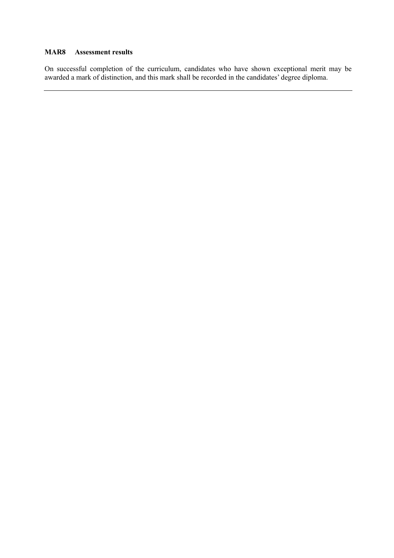#### **MAR8 Assessment results**

 $\ddot{\phantom{0}}$ On successful completion of the curriculum, candidates who have shown exceptional merit may be awarded a mark of distinction, and this mark shall be recorded in the candidates' degree diploma.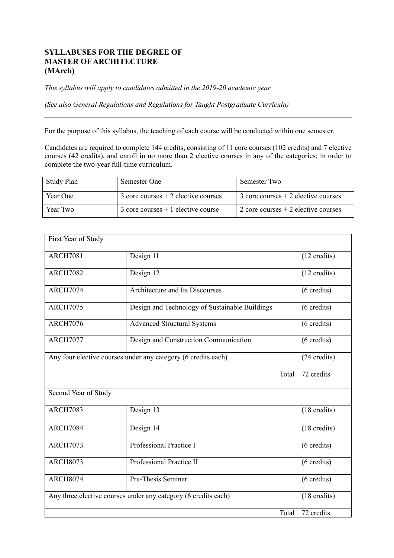# **SYLLABUSES FOR THE DEGREE OF MASTER OF ARCHITECTURE (MArch)**

 *This syllabus will apply to candidates admitted in the 2019-20 academic year* 

*(See also General Regulations and Regulations for Taught Postgraduate Curricula)* 

For the purpose of this syllabus, the teaching of each course will be conducted within one semester.

 Candidates are required to complete 144 credits, consisting of 11 core courses (102 credits) and 7 elective courses (42 credits), and enroll in no more than 2 elective courses in any of the categories; in order to complete the two-year full-time curriculum.

| Study Plan | Semester One                           | Semester Two                           |
|------------|----------------------------------------|----------------------------------------|
| Year One   | $3$ core courses $+2$ elective courses | $3$ core courses $+2$ elective courses |
| Year Two   | $3$ core courses $+1$ elective course  | 2 core courses $+$ 2 elective courses  |

| First Year of Study                                            |                                                |                        |  |
|----------------------------------------------------------------|------------------------------------------------|------------------------|--|
| <b>ARCH7081</b>                                                | Design 11                                      | $(12 \text{ credits})$ |  |
| <b>ARCH7082</b>                                                | Design 12                                      | $(12 \text{ credits})$ |  |
| <b>ARCH7074</b>                                                | <b>Architecture and Its Discourses</b>         | $(6 \text{ credits})$  |  |
| <b>ARCH7075</b>                                                | Design and Technology of Sustainable Buildings | $(6 \text{ credits})$  |  |
| <b>ARCH7076</b>                                                | <b>Advanced Structural Systems</b>             | $(6 \text{ credits})$  |  |
| <b>ARCH7077</b>                                                | Design and Construction Communication          | $(6 \text{ credits})$  |  |
| Any four elective courses under any category (6 credits each)  | (24 credits)                                   |                        |  |
|                                                                | Total                                          | 72 credits             |  |
| Second Year of Study                                           |                                                |                        |  |
| <b>ARCH7083</b>                                                | Design 13                                      | $(18 \text{ credits})$ |  |
| <b>ARCH7084</b>                                                | Design 14                                      | $(18 \text{ credits})$ |  |
| ARCH7073                                                       | Professional Practice I                        | $(6 \text{ credits})$  |  |
| <b>ARCH8073</b>                                                | Professional Practice II                       | $(6 \text{ credits})$  |  |
| <b>ARCH8074</b>                                                | Pre-Thesis Seminar                             | $(6 \text{ credits})$  |  |
| Any three elective courses under any category (6 credits each) | $(18 \text{ credits})$                         |                        |  |
|                                                                | Total                                          | 72 credits             |  |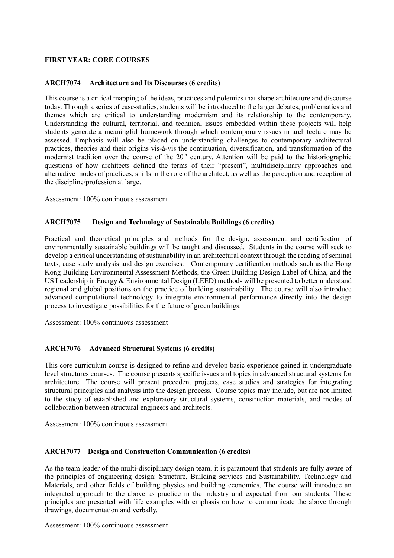### **FIRST YEAR: CORE COURSES**

#### **ARCH7074 Architecture and Its Discourses (6 credits)**

 This course is a critical mapping of the ideas, practices and polemics that shape architecture and discourse today. Through a series of case-studies, students will be introduced to the larger debates, problematics and themes which are critical to understanding modernism and its relationship to the contemporary. Understanding the cultural, territorial, and technical issues embedded within these projects will help students generate a meaningful framework through which contemporary issues in architecture may be assessed. Emphasis will also be placed on understanding challenges to contemporary architectural practices, theories and their origins vis-á-vis the continuation, diversification, and transformation of the modernist tradition over the course of the  $20<sup>th</sup>$  century. Attention will be paid to the historiographic questions of how architects defined the terms of their "present", multidisciplinary approaches and alternative modes of practices, shifts in the role of the architect, as well as the perception and reception of the discipline/profession at large.

Assessment: 100% continuous assessment

### **ARCH7075 Design and Technology of Sustainable Buildings (6 credits)**

 Practical and theoretical principles and methods for the design, assessment and certification of environmentally sustainable buildings will be taught and discussed. Students in the course will seek to develop a critical understanding of sustainability in an architectural context through the reading of seminal texts, case study analysis and design exercises. Contemporary certification methods such as the Hong Kong Building Environmental Assessment Methods, the Green Building Design Label of China, and the US Leadership in Energy & Environmental Design (LEED) methods will be presented to better understand regional and global positions on the practice of building sustainability. The course will also introduce process to investigate possibilities for the future of green buildings. advanced computational technology to integrate environmental performance directly into the design

Assessment: 100% continuous assessment

#### **ARCH7076 Advanced Structural Systems (6 credits)**

 This core curriculum course is designed to refine and develop basic experience gained in undergraduate level structures courses. The course presents specific issues and topics in advanced structural systems for architecture. The course will present precedent projects, case studies and strategies for integrating structural principles and analysis into the design process. Course topics may include, but are not limited to the study of established and exploratory structural systems, construction materials, and modes of collaboration between structural engineers and architects.

Assessment: 100% continuous assessment

#### **ARCH7077 Design and Construction Communication (6 credits)**

 As the team leader of the multi-disciplinary design team, it is paramount that students are fully aware of the principles of engineering design: Structure, Building services and Sustainability, Technology and Materials, and other fields of building physics and building economics. The course will introduce an integrated approach to the above as practice in the industry and expected from our students. These principles are presented with life examples with emphasis on how to communicate the above through drawings, documentation and verbally.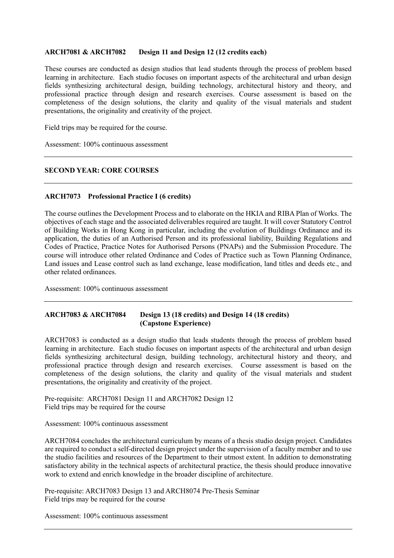#### **ARCH7081 & ARCH7082 Design 11 and Design 12 (12 credits each)**

 These courses are conducted as design studios that lead students through the process of problem based learning in architecture. Each studio focuses on important aspects of the architectural and urban design fields synthesizing architectural design, building technology, architectural history and theory, and professional practice through design and research exercises. Course assessment is based on the completeness of the design solutions, the clarity and quality of the visual materials and student presentations, the originality and creativity of the project.

Field trips may be required for the course.

Assessment: 100% continuous assessment

### **SECOND YEAR: CORE COURSES**

#### **ARCH7073 Professional Practice I (6 credits)**

 The course outlines the Development Process and to elaborate on the HKIA and RIBA Plan of Works. The objectives of each stage and the associated deliverables required are taught. It will cover Statutory Control of Building Works in Hong Kong in particular, including the evolution of Buildings Ordinance and its application, the duties of an Authorised Person and its professional liability, Building Regulations and Codes of Practice, Practice Notes for Authorised Persons (PNAPs) and the Submission Procedure. The course will introduce other related Ordinance and Codes of Practice such as Town Planning Ordinance, Land issues and Lease control such as land exchange, lease modification, land titles and deeds etc., and other related ordinances.

Assessment: 100% continuous assessment

## **ARCH7083 & ARCH7084 Design 13 (18 credits) and Design 14 (18 credits) (Capstone Experience)**

 ARCH7083 is conducted as a design studio that leads students through the process of problem based learning in architecture. Each studio focuses on important aspects of the architectural and urban design fields synthesizing architectural design, building technology, architectural history and theory, and professional practice through design and research exercises. Course assessment is based on the completeness of the design solutions, the clarity and quality of the visual materials and student presentations, the originality and creativity of the project.

 Pre-requisite: ARCH7081 Design 11 and ARCH7082 Design 12 Field trips may be required for the course

Assessment: 100% continuous assessment

 ARCH7084 concludes the architectural curriculum by means of a thesis studio design project. Candidates are required to conduct a self-directed design project under the supervision of a faculty member and to use the studio facilities and resources of the Department to their utmost extent. In addition to demonstrating satisfactory ability in the technical aspects of architectural practice, the thesis should produce innovative work to extend and enrich knowledge in the broader discipline of architecture.

Pre-requisite: ARCH7083 Design 13 and ARCH8074 Pre-Thesis Seminar Field trips may be required for the course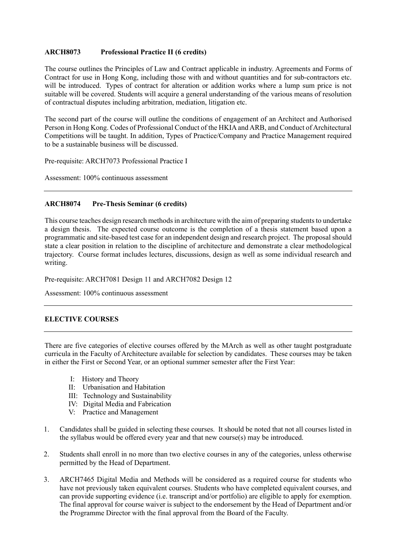#### **ARCH8073 Professional Practice II (6 credits)**

 The course outlines the Principles of Law and Contract applicable in industry. Agreements and Forms of Contract for use in Hong Kong, including those with and without quantities and for sub-contractors etc. will be introduced. Types of contract for alteration or addition works where a lump sum price is not suitable will be covered. Students will acquire a general understanding of the various means of resolution of contractual disputes including arbitration, mediation, litigation etc.

 The second part of the course will outline the conditions of engagement of an Architect and Authorised Person in Hong Kong. Codes of Professional Conduct of the HKIA and ARB, and Conduct of Architectural Competitions will be taught. In addition, Types of Practice/Company and Practice Management required to be a sustainable business will be discussed.

Pre-requisite: ARCH7073 Professional Practice I

Assessment: 100% continuous assessment

### **ARCH8074 Pre-Thesis Seminar (6 credits)**

 This course teaches design research methods in architecture with the aim of preparing students to undertake a design thesis. The expected course outcome is the completion of a thesis statement based upon a programmatic and site-based test case for an independent design and research project. The proposal should state a clear position in relation to the discipline of architecture and demonstrate a clear methodological trajectory. Course format includes lectures, discussions, design as well as some individual research and writing.

Pre-requisite: ARCH7081 Design 11 and ARCH7082 Design 12

Assessment: 100% continuous assessment

## **ELECTIVE COURSES**

 There are five categories of elective courses offered by the MArch as well as other taught postgraduate curricula in the Faculty of Architecture available for selection by candidates. These courses may be taken in either the First or Second Year, or an optional summer semester after the First Year:

- I: History and Theory
- II: Urbanisation and Habitation
- III: Technology and Sustainability
- IV: Digital Media and Fabrication
- V: Practice and Management
- 1. Candidates shall be guided in selecting these courses. It should be noted that not all courses listed in the syllabus would be offered every year and that new course(s) may be introduced.
- 2. Students shall enroll in no more than two elective courses in any of the categories, unless otherwise permitted by the Head of Department.
- 3. ARCH7465 Digital Media and Methods will be considered as a required course for students who have not previously taken equivalent courses. Students who have completed equivalent courses, and can provide supporting evidence (i.e. transcript and/or portfolio) are eligible to apply for exemption. can provide supporting evidence (i.e. transcript and/or portfolio) are eligible to apply for exemption. The final approval for course waiver is subject to the endorsement by the Head of Department and/or the Programme Director with the final approval from the Board of the Faculty.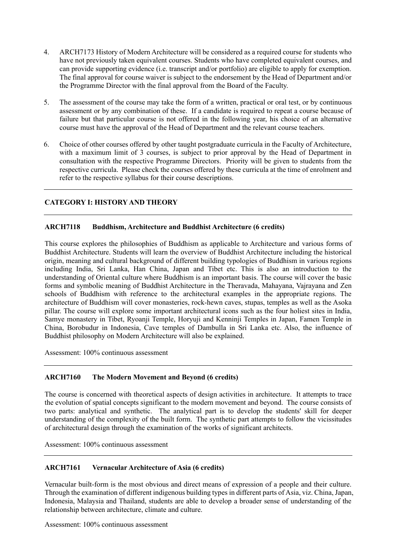- 4. ARCH7173 History of Modern Architecture will be considered as a required course for students who have not previously taken equivalent courses. Students who have completed equivalent courses, and The final approval for course waiver is subject to the endorsement by the Head of Department and/or the Programme Director with the final approval from the Board of the Faculty. can provide supporting evidence (i.e. transcript and/or portfolio) are eligible to apply for exemption.
- 5. The assessment of the course may take the form of a written, practical or oral test, or by continuous assessment or by any combination of these. If a candidate is required to repeat a course because of failure but that particular course is not offered in the following year, his choice of an alternative course must have the approval of the Head of Department and the relevant course teachers.
- 6. Choice of other courses offered by other taught postgraduate curricula in the Faculty of Architecture, with a maximum limit of 3 courses, is subject to prior approval by the Head of Department in consultation with the respective Programme Directors. Priority will be given to students from the respective curricula. Please check the courses offered by these curricula at the time of enrolment and refer to the respective syllabus for their course descriptions.

## **CATEGORY I: HISTORY AND THEORY**

### **ARCH7118 Buddhism, Architecture and Buddhist Architecture (6 credits)**

 This course explores the philosophies of Buddhism as applicable to Architecture and various forms of Buddhist Architecture. Students will learn the overview of Buddhist Architecture including the historical origin, meaning and cultural background of different building typologies of Buddhism in various regions including India, Sri Lanka, Han China, Japan and Tibet etc. This is also an introduction to the understanding of Oriental culture where Buddhism is an important basis. The course will cover the basic forms and symbolic meaning of Buddhist Architecture in the Theravada, Mahayana, Vajrayana and Zen schools of Buddhism with reference to the architectural examples in the appropriate regions. The architecture of Buddhism will cover monasteries, rock-hewn caves, stupas, temples as well as the Asoka pillar. The course will explore some important architectural icons such as the four holiest sites in India, Samye monastery in Tibet, Ryoanji Temple, Horyuji and Kenninji Temples in Japan, Famen Temple in China, Borobudur in Indonesia, Cave temples of Dambulla in Sri Lanka etc. Also, the influence of Buddhist philosophy on Modern Architecture will also be explained.

Assessment: 100% continuous assessment

#### **ARCH7160 The Modern Movement and Beyond (6 credits)**

 The course is concerned with theoretical aspects of design activities in architecture. It attempts to trace the evolution of spatial concepts significant to the modern movement and beyond. The course consists of two parts: analytical and synthetic. The analytical part is to develop the students' skill for deeper understanding of the complexity of the built form. The synthetic part attempts to follow the vicissitudes of architectural design through the examination of the works of significant architects.

Assessment: 100% continuous assessment

#### **ARCH7161 Vernacular Architecture of Asia (6 credits)**

 Vernacular built-form is the most obvious and direct means of expression of a people and their culture. Through the examination of different indigenous building types in different parts of Asia, viz. China, Japan, Indonesia, Malaysia and Thailand, students are able to develop a broader sense of understanding of the relationship between architecture, climate and culture.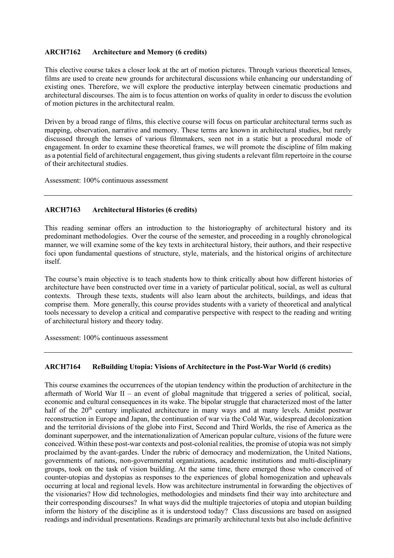### **ARCH7162 Architecture and Memory (6 credits)**

 This elective course takes a closer look at the art of motion pictures. Through various theoretical lenses, films are used to create new grounds for architectural discussions while enhancing our understanding of existing ones. Therefore, we will explore the productive interplay between cinematic productions and architectural discourses. The aim is to focus attention on works of quality in order to discuss the evolution of motion pictures in the architectural realm.

 Driven by a broad range of films, this elective course will focus on particular architectural terms such as mapping, observation, narrative and memory. These terms are known in architectural studies, but rarely discussed through the lenses of various filmmakers, seen not in a static but a procedural mode of engagement. In order to examine these theoretical frames, we will promote the discipline of film making as a potential field of architectural engagement, thus giving students a relevant film repertoire in the course of their architectural studies.

Assessment: 100% continuous assessment

### **ARCH7163 Architectural Histories (6 credits)**

 This reading seminar offers an introduction to the historiography of architectural history and its predominant methodologies. Over the course of the semester, and proceeding in a roughly chronological manner, we will examine some of the key texts in architectural history, their authors, and their respective foci upon fundamental questions of structure, style, materials, and the historical origins of architecture itself.

 The course's main objective is to teach students how to think critically about how different histories of architecture have been constructed over time in a variety of particular political, social, as well as cultural contexts. Through these texts, students will also learn about the architects, buildings, and ideas that comprise them. More generally, this course provides students with a variety of theoretical and analytical tools necessary to develop a critical and comparative perspective with respect to the reading and writing of architectural history and theory today.

Assessment: 100% continuous assessment

#### **ARCH7164 ReBuilding Utopia: Visions of Architecture in the Post-War World (6 credits)**

 This course examines the occurrences of the utopian tendency within the production of architecture in the aftermath of World War II – an event of global magnitude that triggered a series of political, social, economic and cultural consequences in its wake. The bipolar struggle that characterized most of the latter half of the 20<sup>th</sup> century implicated architecture in many ways and at many levels. Amidst postwar reconstruction in Europe and Japan, the continuation of war via the Cold War, widespread decolonization and the territorial divisions of the globe into First, Second and Third Worlds, the rise of America as the dominant superpower, and the internationalization of American popular culture, visions of the future were conceived. Within these post-war contexts and post-colonial realities, the promise of utopia was not simply proclaimed by the avant-gardes. Under the rubric of democracy and modernization, the United Nations, governments of nations, non-governmental organizations, academic institutions and multi-disciplinary groups, took on the task of vision building. At the same time, there emerged those who conceived of counter-utopias and dystopias as responses to the experiences of global homogenization and upheavals occurring at local and regional levels. How was architecture instrumental in forwarding the objectives of the visionaries? How did technologies, methodologies and mindsets find their way into architecture and their corresponding discourses? In what ways did the multiple trajectories of utopia and utopian building inform the history of the discipline as it is understood today? Class discussions are based on assigned readings and individual presentations. Readings are primarily architectural texts but also include definitive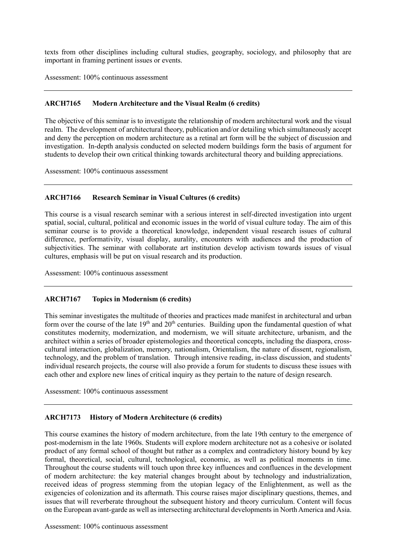texts from other disciplines including cultural studies, geography, sociology, and philosophy that are important in framing pertinent issues or events.

Assessment: 100% continuous assessment

#### **ARCH7165 Modern Architecture and the Visual Realm (6 credits)**

 The objective of this seminar is to investigate the relationship of modern architectural work and the visual realm. The development of architectural theory, publication and/or detailing which simultaneously accept and deny the perception on modern architecture as a retinal art form will be the subject of discussion and investigation. In-depth analysis conducted on selected modern buildings form the basis of argument for students to develop their own critical thinking towards architectural theory and building appreciations.

Assessment: 100% continuous assessment

#### **ARCH7166 Research Seminar in Visual Cultures (6 credits)**

 This course is a visual research seminar with a serious interest in self-directed investigation into urgent spatial, social, cultural, political and economic issues in the world of visual culture today. The aim of this seminar course is to provide a theoretical knowledge, independent visual research issues of cultural difference, performativity, visual display, aurality, encounters with audiences and the production of subjectivities. The seminar with collaborate art institution develop activism towards issues of visual cultures, emphasis will be put on visual research and its production.

Assessment: 100% continuous assessment

#### **ARCH7167 Topics in Modernism (6 credits)**

 This seminar investigates the multitude of theories and practices made manifest in architectural and urban form over the course of the late  $19<sup>th</sup>$  and  $20<sup>th</sup>$  centuries. Building upon the fundamental question of what constitutes modernity, modernization, and modernism, we will situate architecture, urbanism, and the architect within a series of broader epistemologies and theoretical concepts, including the diaspora, cross- cultural interaction, globalization, memory, nationalism, Orientalism, the nature of dissent, regionalism, technology, and the problem of translation. Through intensive reading, in-class discussion, and students' individual research projects, the course will also provide a forum for students to discuss these issues with each other and explore new lines of critical inquiry as they pertain to the nature of design research.

Assessment: 100% continuous assessment

#### **ARCH7173 History of Modern Architecture (6 credits)**

 This course examines the history of modern architecture, from the late 19th century to the emergence of post-modernism in the late 1960s. Students will explore modern architecture not as a cohesive or isolated product of any formal school of thought but rather as a complex and contradictory history bound by key Throughout the course students will touch upon three key influences and confluences in the development of modern architecture: the key material changes brought about by technology and industrialization, received ideas of progress stemming from the utopian legacy of the Enlightenment, as well as the exigencies of colonization and its aftermath. This course raises major disciplinary questions, themes, and issues that will reverberate throughout the subsequent history and theory curriculum. Content will focus on the European avant-garde as well as intersecting architectural developments in North America and Asia. formal, theoretical, social, cultural, technological, economic, as well as political moments in time.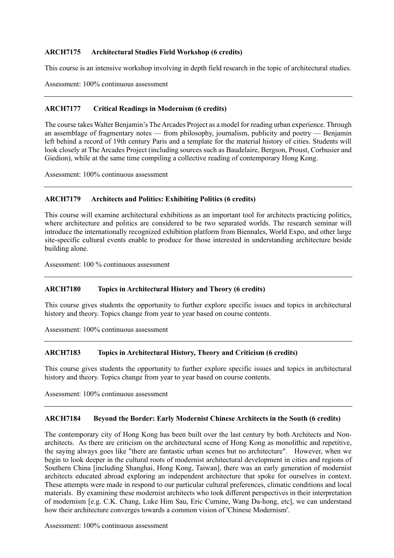#### **ARCH7175** Architectural Studies Field Workshop (6 credits)

This course is an intensive workshop involving in depth field research in the topic of architectural studies.

Assessment: 100% continuous assessment

#### **ARCH7177 Critical Readings in Modernism (6 credits)**

 The course takes Walter Benjamin's The Arcades Project as a model for reading urban experience. Through an assemblage of fragmentary notes — from philosophy, journalism, publicity and poetry — Benjamin left behind a record of 19th century Paris and a template for the material history of cities. Students will look closely at The Arcades Project (including sources such as Baudelaire, Bergson, Proust, Corbusier and Giedion), while at the same time compiling a collective reading of contemporary Hong Kong.

Assessment: 100% continuous assessment

#### Architects and Politics: Exhibiting Politics (6 credits)

 This course will examine architectural exhibitions as an important tool for architects practicing politics, where architecture and politics are considered to be two separated worlds. The research seminar will introduce the internationally recognized exhibition platform from Biennales, World Expo, and other large site-specific cultural events enable to produce for those interested in understanding architecture beside building alone.

Assessment: 100 % continuous assessment

## **ARCH7180 Topics in Architectural History and Theory (6 credits)**

 This course gives students the opportunity to further explore specific issues and topics in architectural history and theory. Topics change from year to year based on course contents.

Assessment: 100% continuous assessment

## **ARCH7183 Topics in Architectural History, Theory and Criticism (6 credits)**

 This course gives students the opportunity to further explore specific issues and topics in architectural history and theory. Topics change from year to year based on course contents.

Assessment: 100% continuous assessment

#### **ARCH7184 Beyond the Border: Early Modernist Chinese Architects in the South (6 credits)**

 The contemporary city of Hong Kong has been built over the last century by both Architects and Non- architects. As there are criticism on the architectural scene of Hong Kong as monolithic and repetitive, the saying always goes like "there are fantastic urban scenes but no architecture". However, when we begin to look deeper in the cultural roots of modernist architectural development in cities and regions of Southern China [including Shanghai, Hong Kong, Taiwan], there was an early generation of modernist architects educated abroad exploring an independent architecture that spoke for ourselves in context. These attempts were made in respond to our particular cultural preferences, climatic conditions and local materials. By examining these modernist architects who took different perspectives in their interpretation of modernism [e.g. C.K. Chang, Luke Him Sau, Eric Cumine, Wang Da-hong, etc], we can understand how their architecture converges towards a common vision of 'Chinese Modernism'.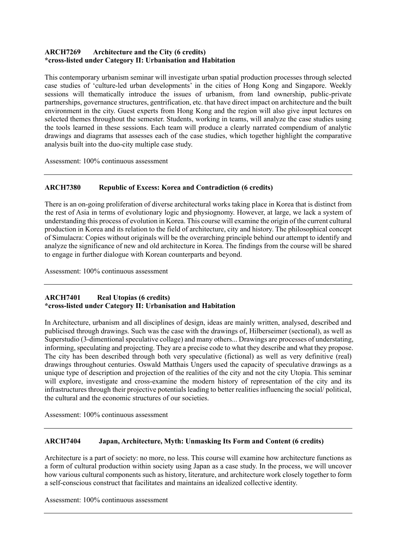#### **ARCH7269** Architecture and the City (6 credits) **\*cross-listed under Category II: Urbanisation and Habitation**

 This contemporary urbanism seminar will investigate urban spatial production processes through selected case studies of 'culture-led urban developments' in the cities of Hong Kong and Singapore. Weekly sessions will thematically introduce the issues of urbanism, from land ownership, public-private partnerships, governance structures, gentrification, etc. that have direct impact on architecture and the built environment in the city. Guest experts from Hong Kong and the region will also give input lectures on selected themes throughout the semester. Students, working in teams, will analyze the case studies using the tools learned in these sessions. Each team will produce a clearly narrated compendium of analytic drawings and diagrams that assesses each of the case studies, which together highlight the comparative analysis built into the duo-city multiple case study.

Assessment: 100% continuous assessment

#### **ARCH7380 Republic of Excess: Korea and Contradiction (6 credits)**

 There is an on-going proliferation of diverse architectural works taking place in Korea that is distinct from the rest of Asia in terms of evolutionary logic and physiognomy. However, at large, we lack a system of understanding this process of evolution in Korea. This course will examine the origin of the current cultural production in Korea and its relation to the field of architecture, city and history. The philosophical concept of Simulacra: Copies without originals will be the overarching principle behind our attempt to identify and analyze the significance of new and old architecture in Korea. The findings from the course will be shared to engage in further dialogue with Korean counterparts and beyond.

Assessment: 100% continuous assessment

#### **ARCH7401 \*cross-listed under Category II: Urbanisation and Habitation Real Utopias (6 credits)**

 In Architecture, urbanism and all disciplines of design, ideas are mainly written, analysed, described and publicised through drawings. Such was the case with the drawings of, Hilberseimer (sectional), as well as Superstudio (3-dimentional speculative collage) and many others... Drawings are processes of understating, informing, speculating and projecting. They are a precise code to what they describe and what they propose. The city has been described through both very speculative (fictional) as well as very definitive (real) drawings throughout centuries. Oswald Matthais Ungers used the capacity of speculative drawings as a unique type of description and projection of the realities of the city and not the city Utopia. This seminar will explore, investigate and cross-examine the modern history of representation of the city and its infrastructures through their projective potentials leading to better realities influencing the social/ political, the cultural and the economic structures of our societies.

Assessment: 100% continuous assessment

#### **ARCH7404 Japan, Architecture, Myth: Unmasking Its Form and Content (6 credits)**

 Architecture is a part of society: no more, no less. This course will examine how architecture functions as a form of cultural production within society using Japan as a case study. In the process, we will uncover how various cultural components such as history, literature, and architecture work closely together to form a self-conscious construct that facilitates and maintains an idealized collective identity.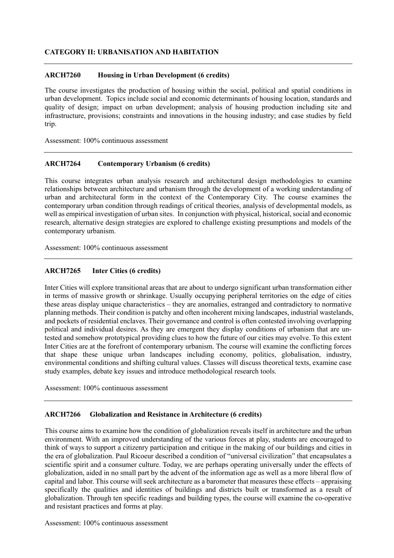### **CATEGORY II: URBANISATION AND HABITATION**

#### **ARCH7260 Housing in Urban Development (6 credits)**

 The course investigates the production of housing within the social, political and spatial conditions in urban development. Topics include social and economic determinants of housing location, standards and quality of design; impact on urban development; analysis of housing production including site and infrastructure, provisions; constraints and innovations in the housing industry; and case studies by field trip.

Assessment: 100% continuous assessment

### **ARCH7264 Contemporary Urbanism (6 credits)**

 This course integrates urban analysis research and architectural design methodologies to examine relationships between architecture and urbanism through the development of a working understanding of urban and architectural form in the context of the Contemporary City. The course examines the contemporary urban condition through readings of critical theories, analysis of developmental models, as well as empirical investigation of urban sites. In conjunction with physical, historical, social and economic research, alternative design strategies are explored to challenge existing presumptions and models of the contemporary urbanism.

Assessment: 100% continuous assessment

## **ARCH7265 Inter Cities (6 credits)**

 Inter Cities will explore transitional areas that are about to undergo significant urban transformation either in terms of massive growth or shrinkage. Usually occupying peripheral territories on the edge of cities these areas display unique characteristics – they are anomalies, estranged and contradictory to normative planning methods. Their condition is patchy and often incoherent mixing landscapes, industrial wastelands, and pockets of residential enclaves. Their governance and control is often contested involving overlapping political and individual desires. As they are emergent they display conditions of urbanism that are un- tested and somehow prototypical providing clues to how the future of our cities may evolve. To this extent Inter Cities are at the forefront of contemporary urbanism. The course will examine the conflicting forces that shape these unique urban landscapes including economy, politics, globalisation, industry, environmental conditions and shifting cultural values. Classes will discuss theoretical texts, examine case study examples, debate key issues and introduce methodological research tools.

Assessment: 100% continuous assessment

#### Globalization and Resistance in Architecture (6 credits)

 This course aims to examine how the condition of globalization reveals itself in architecture and the urban environment. With an improved understanding of the various forces at play, students are encouraged to think of ways to support a citizenry participation and critique in the making of our buildings and cities in scientific spirit and a consumer culture. Today, we are perhaps operating universally under the effects of globalization, aided in no small part by the advent of the information age as well as a more liberal flow of capital and labor. This course will seek architecture as a barometer that measures these effects – appraising specifically the qualities and identities of buildings and districts built or transformed as a result of and resistant practices and forms at play. the era of globalization. Paul Ricoeur described a condition of "universal civilization" that encapsulates a globalization. Through ten specific readings and building types, the course will examine the co-operative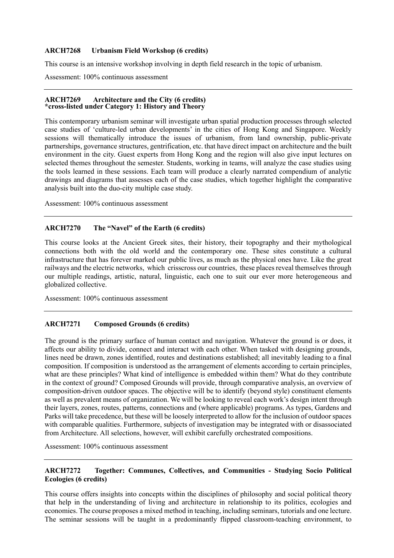#### **Urbanism Field Workshop (6 credits)**

This course is an intensive workshop involving in depth field research in the topic of urbanism.

Assessment: 100% continuous assessment

#### **ARCH7269 ARCH7269 Architecture and the City (6 credits) \*cross-listed under Category 1: History and Theory**

 This contemporary urbanism seminar will investigate urban spatial production processes through selected case studies of 'culture-led urban developments' in the cities of Hong Kong and Singapore. Weekly sessions will thematically introduce the issues of urbanism, from land ownership, public-private partnerships, governance structures, gentrification, etc. that have direct impact on architecture and the built environment in the city. Guest experts from Hong Kong and the region will also give input lectures on selected themes throughout the semester. Students, working in teams, will analyze the case studies using the tools learned in these sessions. Each team will produce a clearly narrated compendium of analytic drawings and diagrams that assesses each of the case studies, which together highlight the comparative analysis built into the duo-city multiple case study.

Assessment: 100% continuous assessment

#### **ARCH7270** The "Navel" of the Earth (6 credits)

 This course looks at the Ancient Greek sites, their history, their topography and their mythological connections both with the old world and the contemporary one. These sites constitute a cultural infrastructure that has forever marked our public lives, as much as the physical ones have. Like the great railways and the electric networks, which crisscross our countries, these places reveal themselves through our multiple readings, artistic, natural, linguistic, each one to suit our ever more heterogeneous and globalized collective.

Assessment: 100% continuous assessment

#### **ARCH7271 Composed Grounds (6 credits)**

 The ground is the primary surface of human contact and navigation. Whatever the ground is or does, it affects our ability to divide, connect and interact with each other. When tasked with designing grounds, lines need be drawn, zones identified, routes and destinations established; all inevitably leading to a final composition. If composition is understood as the arrangement of elements according to certain principles, what are these principles? What kind of intelligence is embedded within them? What do they contribute in the context of ground? Composed Grounds will provide, through comparative analysis, an overview of composition-driven outdoor spaces. The objective will be to identify (beyond style) constituent elements as well as prevalent means of organization. We will be looking to reveal each work's design intent through their layers, zones, routes, patterns, connections and (where applicable) programs. As types, Gardens and Parks will take precedence, but these will be loosely interpreted to allow for the inclusion of outdoor spaces with comparable qualities. Furthermore, subjects of investigation may be integrated with or disassociated from Architecture. All selections, however, will exhibit carefully orchestrated compositions.

Assessment: 100% continuous assessment

#### **ARCH7272** Together: Communes, Collectives, and Communities - Studying Socio Political **Ecologies (6 credits)**

 This course offers insights into concepts within the disciplines of philosophy and social political theory that help in the understanding of living and architecture in relationship to its politics, ecologies and economies. The course proposes a mixed method in teaching, including seminars, tutorials and one lecture. The seminar sessions will be taught in a predominantly flipped classroom-teaching environment, to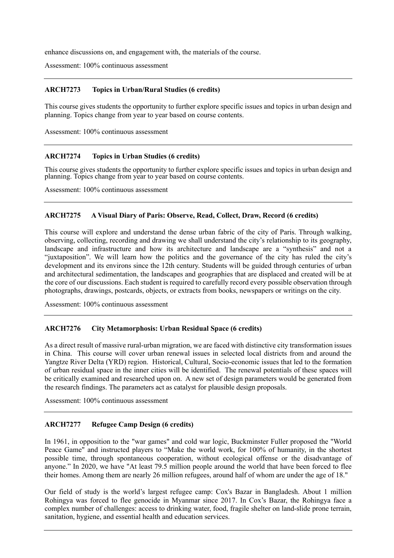enhance discussions on, and engagement with, the materials of the course.

Assessment: 100% continuous assessment

### **ARCH7273 Topics in Urban/Rural Studies (6 credits)**

 This course gives students the opportunity to further explore specific issues and topics in urban design and planning. Topics change from year to year based on course contents.

Assessment: 100% continuous assessment

### **ARCH7274 Topics in Urban Studies (6 credits)**

 This course gives students the opportunity to further explore specific issues and topics in urban design and planning. Topics change from year to year based on course contents.

Assessment: 100% continuous assessment

#### **ARCH7275** A Visual Diary of Paris: Observe, Read, Collect, Draw, Record (6 credits)

 This course will explore and understand the dense urban fabric of the city of Paris. Through walking, observing, collecting, recording and drawing we shall understand the city's relationship to its geography, landscape and infrastructure and how its architecture and landscape are a "synthesis" and not a "juxtaposition". We will learn how the politics and the governance of the city has ruled the city's development and its environs since the 12th century. Students will be guided through centuries of urban and architectural sedimentation, the landscapes and geographies that are displaced and created will be at the core of our discussions. Each student is required to carefully record every possible observation through photographs, drawings, postcards, objects, or extracts from books, newspapers or writings on the city.

Assessment: 100% continuous assessment

#### **ARCH7276 City Metamorphosis: Urban Residual Space (6 credits)**

 As a direct result of massive rural-urban migration, we are faced with distinctive city transformation issues in China. This course will cover urban renewal issues in selected local districts from and around the Yangtze River Delta (YRD) region. Historical, Cultural, Socio-economic issues that led to the formation of urban residual space in the inner cities will be identified. The renewal potentials of these spaces will be critically examined and researched upon on. A new set of design parameters would be generated from the research findings. The parameters act as catalyst for plausible design proposals.

Assessment: 100% continuous assessment

#### **ARCH7277 Refugee Camp Design (6 credits)**

 In 1961, in opposition to the "war games" and cold war logic, Buckminster Fuller proposed the "World Peace Game" and instructed players to "Make the world work, for 100% of humanity, in the shortest possible time, through spontaneous cooperation, without ecological offense or the disadvantage of anyone." In 2020, we have "At least 79.5 million people around the world that have been forced to flee their homes. Among them are nearly 26 million refugees, around half of whom are under the age of 18."

 Our field of study is the world's largest refugee camp: Cox's Bazar in Bangladesh. About 1 million Rohingya was forced to flee genocide in Myanmar since 2017. In Cox's Bazar, the Rohingya face a complex number of challenges: access to drinking water, food, fragile shelter on land-slide prone terrain, sanitation, hygiene, and essential health and education services.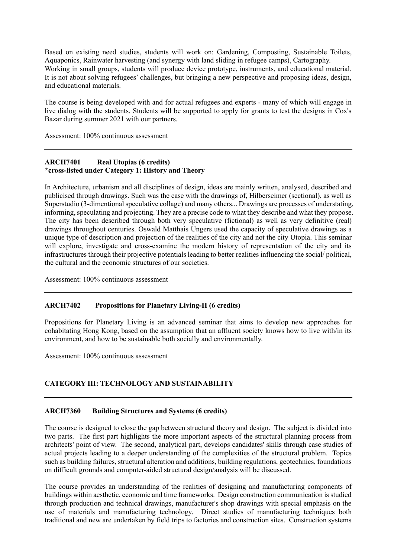Based on existing need studies, students will work on: Gardening, Composting, Sustainable Toilets, Aquaponics, Rainwater harvesting (and synergy with land sliding in refugee camps), Cartography. Working in small groups, students will produce device prototype, instruments, and educational material. It is not about solving refugees' challenges, but bringing a new perspective and proposing ideas, design, and educational materials.

 The course is being developed with and for actual refugees and experts - many of which will engage in live dialog with the students. Students will be supported to apply for grants to test the designs in Cox's Bazar during summer 2021 with our partners.

Assessment: 100% continuous assessment

#### **ARCH7401 Real Utopias (6 credits) \*cross-listed under Category 1: History and Theory**

 In Architecture, urbanism and all disciplines of design, ideas are mainly written, analysed, described and publicised through drawings. Such was the case with the drawings of, Hilberseimer (sectional), as well as Superstudio (3-dimentional speculative collage) and many others... Drawings are processes of understating, informing, speculating and projecting. They are a precise code to what they describe and what they propose. The city has been described through both very speculative (fictional) as well as very definitive (real) drawings throughout centuries. Oswald Matthais Ungers used the capacity of speculative drawings as a unique type of description and projection of the realities of the city and not the city Utopia. This seminar will explore, investigate and cross-examine the modern history of representation of the city and its infrastructures through their projective potentials leading to better realities influencing the social/ political, the cultural and the economic structures of our societies.

Assessment: 100% continuous assessment

#### **ARCH7402** Propositions for Planetary Living-II (6 credits)

 Propositions for Planetary Living is an advanced seminar that aims to develop new approaches for cohabitating Hong Kong, based on the assumption that an affluent society knows how to live with/in its environment, and how to be sustainable both socially and environmentally.

Assessment: 100% continuous assessment

# **CATEGORY III: TECHNOLOGY AND SUSTAINABILITY**

#### **ARCH7360 Building Structures and Systems (6 credits)**

 The course is designed to close the gap between structural theory and design. The subject is divided into two parts. The first part highlights the more important aspects of the structural planning process from architects' point of view. The second, analytical part, develops candidates' skills through case studies of actual projects leading to a deeper understanding of the complexities of the structural problem. Topics such as building failures, structural alteration and additions, building regulations, geotechnics, foundations on difficult grounds and computer-aided structural design/analysis will be discussed.

 The course provides an understanding of the realities of designing and manufacturing components of buildings within aesthetic, economic and time frameworks. Design construction communication is studied through production and technical drawings, manufacturer's shop drawings with special emphasis on the use of materials and manufacturing technology. Direct studies of manufacturing techniques both traditional and new are undertaken by field trips to factories and construction sites. Construction systems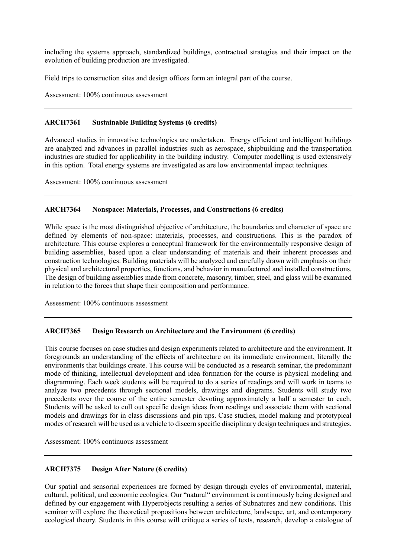including the systems approach, standardized buildings, contractual strategies and their impact on the evolution of building production are investigated.

Field trips to construction sites and design offices form an integral part of the course.

Assessment: 100% continuous assessment

### **ARCH7361 Sustainable Building Systems (6 credits)**

 Advanced studies in innovative technologies are undertaken. Energy efficient and intelligent buildings are analyzed and advances in parallel industries such as aerospace, shipbuilding and the transportation industries are studied for applicability in the building industry. Computer modelling is used extensively in this option. Total energy systems are investigated as are low environmental impact techniques.

Assessment: 100% continuous assessment

#### **ARCH7364 Nonspace: Materials, Processes, and Constructions (6 credits)**

 While space is the most distinguished objective of architecture, the boundaries and character of space are defined by elements of non-space: materials, processes, and constructions. This is the paradox of building assemblies, based upon a clear understanding of materials and their inherent processes and construction technologies. Building materials will be analyzed and carefully drawn with emphasis on their physical and architectural properties, functions, and behavior in manufactured and installed constructions. The design of building assemblies made from concrete, masonry, timber, steel, and glass will be examined architecture. This course explores a conceptual framework for the environmentally responsive design of in relation to the forces that shape their composition and performance.

Assessment: 100% continuous assessment

#### **ARCH7365 Design Research on Architecture and the Environment (6 credits)**

 This course focuses on case studies and design experiments related to architecture and the environment. It foregrounds an understanding of the effects of architecture on its immediate environment, literally the environments that buildings create. This course will be conducted as a research seminar, the predominant mode of thinking, intellectual development and idea formation for the course is physical modeling and diagramming. Each week students will be required to do a series of readings and will work in teams to analyze two precedents through sectional models, drawings and diagrams. Students will study two precedents over the course of the entire semester devoting approximately a half a semester to each. Students will be asked to cull out specific design ideas from readings and associate them with sectional models and drawings for in class discussions and pin ups. Case studies, model making and prototypical modes of research will be used as a vehicle to discern specific disciplinary design techniques and strategies.

Assessment: 100% continuous assessment

#### ARCH7375 **Design After Nature (6 credits)**

 Our spatial and sensorial experiences are formed by design through cycles of environmental, material, cultural, political, and economic ecologies. Our "natural" environment is continuously being designed and defined by our engagement with Hyperobjects resulting a series of Subnatures and new conditions. This seminar will explore the theoretical propositions between architecture, landscape, art, and contemporary ecological theory. Students in this course will critique a series of texts, research, develop a catalogue of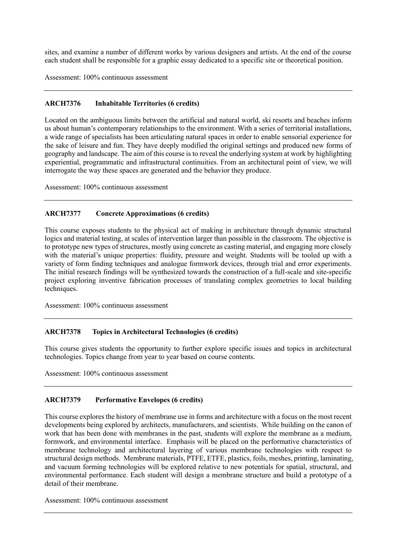sites, and examine a number of different works by various designers and artists. At the end of the course each student shall be responsible for a graphic essay dedicated to a specific site or theoretical position.

Assessment: 100% continuous assessment

#### **ARCH7376 Inhabitable Territories (6 credits)**

 Located on the ambiguous limits between the artificial and natural world, ski resorts and beaches inform us about human's contemporary relationships to the environment. With a series of territorial installations, a wide range of specialists has been articulating natural spaces in order to enable sensorial experience for the sake of leisure and fun. They have deeply modified the original settings and produced new forms of geography and landscape. The aim of this course is to reveal the underlying system at work by highlighting experiential, programmatic and infrastructural continuities. From an architectural point of view, we will interrogate the way these spaces are generated and the behavior they produce.

Assessment: 100% continuous assessment

### **ARCH7377 Concrete Approximations (6 credits)**

 This course exposes students to the physical act of making in architecture through dynamic structural logics and material testing, at scales of intervention larger than possible in the classroom. The objective is to prototype new types of structures, mostly using concrete as casting material, and engaging more closely with the material's unique properties: fluidity, pressure and weight. Students will be tooled up with a variety of form finding techniques and analogue formwork devices, through trial and error experiments. The initial research findings will be synthesized towards the construction of a full-scale and site-specific project exploring inventive fabrication processes of translating complex geometries to local building techniques.

Assessment: 100% continuous assessment

#### **ARCH7378 Topics in Architectural Technologies (6 credits)**

 This course gives students the opportunity to further explore specific issues and topics in architectural technologies. Topics change from year to year based on course contents.

Assessment: 100% continuous assessment

#### **ARCH7379 Performative Envelopes (6 credits)**

 This course explores the history of membrane use in forms and architecture with a focus on the most recent developments being explored by architects, manufacturers, and scientists. While building on the canon of work that has been done with membranes in the past, students will explore the membrane as a medium, formwork, and environmental interface. Emphasis will be placed on the performative characteristics of membrane technology and architectural layering of various membrane technologies with respect to structural design methods. Membrane materials, PTFE, ETFE, plastics, foils, meshes, printing, laminating, and vacuum forming technologies will be explored relative to new potentials for spatial, structural, and environmental performance. Each student will design a membrane structure and build a prototype of a detail of their membrane.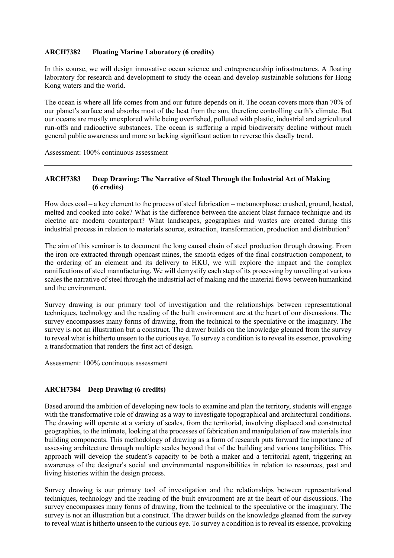#### **ARCH7382 Floating Marine Laboratory (6 credits)**

 In this course, we will design innovative ocean science and entrepreneurship infrastructures. A floating laboratory for research and development to study the ocean and develop sustainable solutions for Hong Kong waters and the world.

 The ocean is where all life comes from and our future depends on it. The ocean covers more than 70% of our planet's surface and absorbs most of the heat from the sun, therefore controlling earth's climate. But our oceans are mostly unexplored while being overfished, polluted with plastic, industrial and agricultural run-offs and radioactive substances. The ocean is suffering a rapid biodiversity decline without much general public awareness and more so lacking significant action to reverse this deadly trend.

Assessment: 100% continuous assessment

#### **ARCH7383 Deep Drawing: The Narrative of Steel Through the Industrial Act of Making (6 credits)**

 How does coal – a key element to the process of steel fabrication – metamorphose: crushed, ground, heated, melted and cooked into coke? What is the difference between the ancient blast furnace technique and its electric arc modern counterpart? What landscapes, geographies and wastes are created during this industrial process in relation to materials source, extraction, transformation, production and distribution?

 The aim of this seminar is to document the long causal chain of steel production through drawing. From the iron ore extracted through opencast mines, the smooth edges of the final construction component, to the ordering of an element and its delivery to HKU, we will explore the impact and the complex ramifications of steel manufacturing. We will demystify each step of its processing by unveiling at various scales the narrative of steel through the industrial act of making and the material flows between humankind and the environment.

 Survey drawing is our primary tool of investigation and the relationships between representational techniques, technology and the reading of the built environment are at the heart of our discussions. The survey encompasses many forms of drawing, from the technical to the speculative or the imaginary. The survey is not an illustration but a construct. The drawer builds on the knowledge gleaned from the survey to reveal what is hitherto unseen to the curious eye. To survey a condition is to reveal its essence, provoking a transformation that renders the first act of design.

Assessment: 100% continuous assessment

## **ARCH7384 Deep Drawing (6 credits)**

 Based around the ambition of developing new tools to examine and plan the territory, students will engage with the transformative role of drawing as a way to investigate topographical and architectural conditions. The drawing will operate at a variety of scales, from the territorial, involving displaced and constructed geographies, to the intimate, looking at the processes of fabrication and manipulation of raw materials into building components. This methodology of drawing as a form of research puts forward the importance of assessing architecture through multiple scales beyond that of the building and various tangibilities. This approach will develop the student's capacity to be both a maker and a territorial agent, triggering an awareness of the designer's social and environmental responsibilities in relation to resources, past and living histories within the design process.

 Survey drawing is our primary tool of investigation and the relationships between representational techniques, technology and the reading of the built environment are at the heart of our discussions. The survey encompasses many forms of drawing, from the technical to the speculative or the imaginary. The survey is not an illustration but a construct. The drawer builds on the knowledge gleaned from the survey to reveal what is hitherto unseen to the curious eye. To survey a condition is to reveal its essence, provoking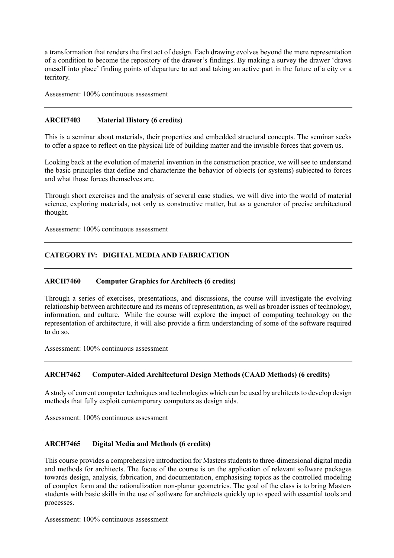a transformation that renders the first act of design. Each drawing evolves beyond the mere representation of a condition to become the repository of the drawer's findings. By making a survey the drawer 'draws oneself into place' finding points of departure to act and taking an active part in the future of a city or a territory.

Assessment: 100% continuous assessment

#### **ARCH7403 Material History (6 credits)**

 This is a seminar about materials, their properties and embedded structural concepts. The seminar seeks to offer a space to reflect on the physical life of building matter and the invisible forces that govern us.

 to offer a space to reflect on the physical life of building matter and the invisible forces that govern us. Looking back at the evolution of material invention in the construction practice, we will see to understand the basic principles that define and characterize the behavior of objects (or systems) subjected to forces and what those forces themselves are.

 Through short exercises and the analysis of several case studies, we will dive into the world of material science, exploring materials, not only as constructive matter, but as a generator of precise architectural thought.

Assessment: 100% continuous assessment

## **CATEGORY IV: DIGITAL MEDIA AND FABRICATION**

#### **ARCH7460 Computer Graphics for Architects (6 credits)**

 Through a series of exercises, presentations, and discussions, the course will investigate the evolving relationship between architecture and its means of representation, as well as broader issues of technology, information, and culture. While the course will explore the impact of computing technology on the representation of architecture, it will also provide a firm understanding of some of the software required to do so.

Assessment: 100% continuous assessment

#### **ARCH7462 Computer-Aided Architectural Design Methods (CAAD Methods) (6 credits)**

 methods that fully exploit contemporary computers as design aids. A study of current computer techniques and technologies which can be used by architects to develop design

Assessment: 100% continuous assessment

#### **ARCH7465 Digital Media and Methods (6 credits)**

 This course provides a comprehensive introduction for Masters students to three-dimensional digital media and methods for architects. The focus of the course is on the application of relevant software packages towards design, analysis, fabrication, and documentation, emphasising topics as the controlled modeling of complex form and the rationalization non-planar geometries. The goal of the class is to bring Masters students with basic skills in the use of software for architects quickly up to speed with essential tools and processes.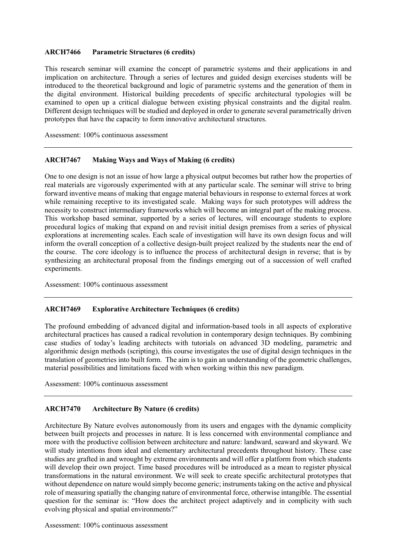#### **ARCH7466 Parametric Structures (6 credits)**

 This research seminar will examine the concept of parametric systems and their applications in and implication on architecture. Through a series of lectures and guided design exercises students will be introduced to the theoretical background and logic of parametric systems and the generation of them in the digital environment. Historical building precedents of specific architectural typologies will be examined to open up a critical dialogue between existing physical constraints and the digital realm. Different design techniques will be studied and deployed in order to generate several parametrically driven prototypes that have the capacity to form innovative architectural structures.

Assessment: 100% continuous assessment

#### **ARCH7467 Making Ways and Ways of Making (6 credits)**

 One to one design is not an issue of how large a physical output becomes but rather how the properties of real materials are vigorously experimented with at any particular scale. The seminar will strive to bring forward inventive means of making that engage material behaviours in response to external forces at work while remaining receptive to its investigated scale. Making ways for such prototypes will address the necessity to construct intermediary frameworks which will become an integral part of the making process. This workshop based seminar, supported by a series of lectures, will encourage students to explore procedural logics of making that expand on and revisit initial design premises from a series of physical explorations at incrementing scales. Each scale of investigation will have its own design focus and will inform the overall conception of a collective design-built project realized by the students near the end of the course. The core ideology is to influence the process of architectural design in reverse; that is by synthesizing an architectural proposal from the findings emerging out of a succession of well crafted experiments.

Assessment: 100% continuous assessment

### **ARCH7469 Explorative Architecture Techniques (6 credits)**

 The profound embedding of advanced digital and information-based tools in all aspects of explorative architectural practices has caused a radical revolution in contemporary design techniques. By combining case studies of today's leading architects with tutorials on advanced 3D modeling, parametric and algorithmic design methods (scripting), this course investigates the use of digital design techniques in the translation of geometries into built form. The aim is to gain an understanding of the geometric challenges, material possibilities and limitations faced with when working within this new paradigm.

Assessment: 100% continuous assessment

#### **ARCH7470 Architecture By Nature (6 credits)**

 Architecture By Nature evolves autonomously from its users and engages with the dynamic complicity between built projects and processes in nature. It is less concerned with environmental compliance and more with the productive collision between architecture and nature: landward, seaward and skyward. We will study intentions from ideal and elementary architectural precedents throughout history. These case studies are grafted in and wrought by extreme environments and will offer a platform from which students will develop their own project. Time based procedures will be introduced as a mean to register physical transformations in the natural environment. We will seek to create specific architectural prototypes that without dependence on nature would simply become generic; instruments taking on the active and physical role of measuring spatially the changing nature of environmental force, otherwise intangible. The essential question for the seminar is: "How does the architect project adaptively and in complicity with such evolving physical and spatial environments?"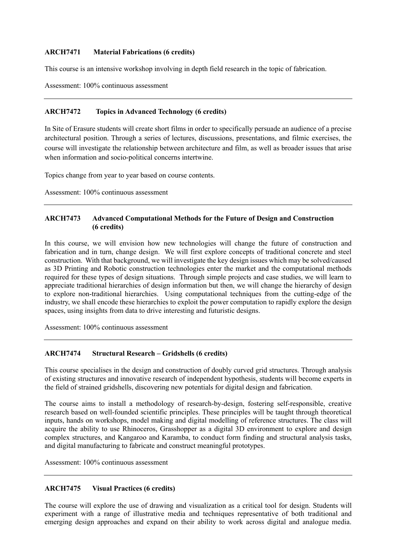#### **ARCH7471 Material Fabrications (6 credits)**

This course is an intensive workshop involving in depth field research in the topic of fabrication.

Assessment: 100% continuous assessment

### **ARCH7472 Topics in Advanced Technology (6 credits)**

 In Site of Erasure students will create short films in order to specifically persuade an audience of a precise architectural position. Through a series of lectures, discussions, presentations, and filmic exercises, the course will investigate the relationship between architecture and film, as well as broader issues that arise when information and socio-political concerns intertwine.

Topics change from year to year based on course contents.

Assessment: 100% continuous assessment

### **ARCH7473 Advanced Computational Methods for the Future of Design and Construction (6 credits)**

 In this course, we will envision how new technologies will change the future of construction and fabrication and in turn, change design. We will first explore concepts of traditional concrete and steel construction. With that background, we will investigate the key design issues which may be solved/caused as 3D Printing and Robotic construction technologies enter the market and the computational methods required for these types of design situations. Through simple projects and case studies, we will learn to appreciate traditional hierarchies of design information but then, we will change the hierarchy of design to explore non-traditional hierarchies. Using computational techniques from the cutting-edge of the industry, we shall encode these hierarchies to exploit the power computation to rapidly explore the design spaces, using insights from data to drive interesting and futuristic designs.

Assessment: 100% continuous assessment

## **ARCH7474 Structural Research – Gridshells (6 credits)**

 This course specialises in the design and construction of doubly curved grid structures. Through analysis of existing structures and innovative research of independent hypothesis, students will become experts in the field of strained gridshells, discovering new potentials for digital design and fabrication.

 The course aims to install a methodology of research-by-design, fostering self-responsible, creative research based on well-founded scientific principles. These principles will be taught through theoretical inputs, hands on workshops, model making and digital modelling of reference structures. The class will acquire the ability to use Rhinoceros, Grasshopper as a digital 3D environment to explore and design complex structures, and Kangaroo and Karamba, to conduct form finding and structural analysis tasks, and digital manufacturing to fabricate and construct meaningful prototypes.

Assessment: 100% continuous assessment

## **ARCH7475 Visual Practices (6 credits)**

 The course will explore the use of drawing and visualization as a critical tool for design. Students will emerging design approaches and expand on their ability to work across digital and analogue media. experiment with a range of illustrative media and techniques representative of both traditional and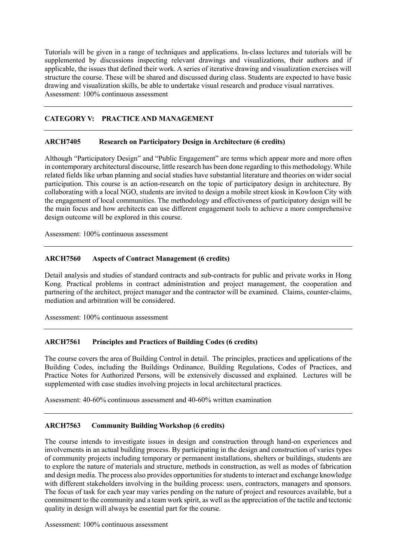Tutorials will be given in a range of techniques and applications. In-class lectures and tutorials will be supplemented by discussions inspecting relevant drawings and visualizations, their authors and if applicable, the issues that defined their work. A series of iterative drawing and visualization exercises will structure the course. These will be shared and discussed during class. Students are expected to have basic Assessment: 100% continuous assessment drawing and visualization skills, be able to undertake visual research and produce visual narratives.

# **CATEGORY V: PRACTICE AND MANAGEMENT**

#### **ARCH7405 Research on Participatory Design in Architecture (6 credits)**

 in contemporary architectural discourse, little research has been done regarding to this methodology. While related fields like urban planning and social studies have substantial literature and theories on wider social participation. This course is an action-research on the topic of participatory design in architecture. By collaborating with a local NGO, students are invited to design a mobile street kiosk in Kowloon City with the engagement of local communities. The methodology and effectiveness of participatory design will be the main focus and how architects can use different engagement tools to achieve a more comprehensive Although "Participatory Design" and "Public Engagement" are terms which appear more and more often design outcome will be explored in this course.

Assessment: 100% continuous assessment

### **ARCH7560 Aspects of Contract Management (6 credits)**

 Detail analysis and studies of standard contracts and sub-contracts for public and private works in Hong Kong. Practical problems in contract administration and project management, the cooperation and partnering of the architect, project manager and the contractor will be examined. Claims, counter-claims, mediation and arbitration will be considered.

Assessment: 100% continuous assessment

## **ARCH7561 Principles and Practices of Building Codes (6 credits)**

 The course covers the area of Building Control in detail. The principles, practices and applications of the Building Codes, including the Buildings Ordinance, Building Regulations, Codes of Practices, and Practice Notes for Authorized Persons, will be extensively discussed and explained. Lectures will be supplemented with case studies involving projects in local architectural practices.

Assessment: 40-60% continuous assessment and 40-60% written examination

#### ARCH7563 **Community Building Workshop (6 credits)**

 The course intends to investigate issues in design and construction through hand-on experiences and involvements in an actual building process. By participating in the design and construction of varies types of community projects including temporary or permanent installations, shelters or buildings, students are to explore the nature of materials and structure, methods in construction, as well as modes of fabrication and design media. The process also provides opportunities for students to interact and exchange knowledge with different stakeholders involving in the building process: users, contractors, managers and sponsors. The focus of task for each year may varies pending on the nature of project and resources available, but a commitment to the community and a team work spirit, as well as the appreciation of the tactile and tectonic quality in design will always be essential part for the course.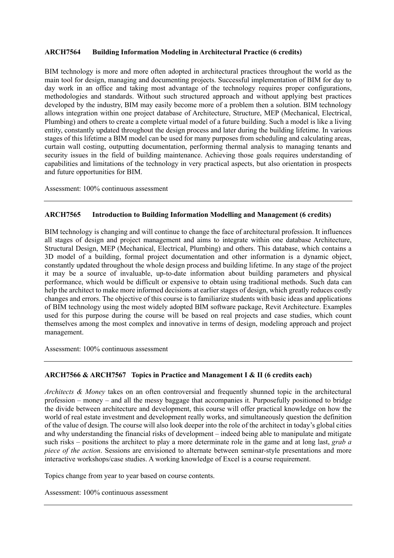#### **ARCH7564 Building Information Modeling in Architectural Practice (6 credits)**

 BIM technology is more and more often adopted in architectural practices throughout the world as the main tool for design, managing and documenting projects. Successful implementation of BIM for day to day work in an office and taking most advantage of the technology requires proper configurations, methodologies and standards. Without such structured approach and without applying best practices developed by the industry, BIM may easily become more of a problem then a solution. BIM technology allows integration within one project database of Architecture, Structure, MEP (Mechanical, Electrical, Plumbing) and others to create a complete virtual model of a future building. Such a model is like a living entity, constantly updated throughout the design process and later during the building lifetime. In various stages of this lifetime a BIM model can be used for many purposes from scheduling and calculating areas, curtain wall costing, outputting documentation, performing thermal analysis to managing tenants and security issues in the field of building maintenance. Achieving those goals requires understanding of capabilities and limitations of the technology in very practical aspects, but also orientation in prospects and future opportunities for BIM.

Assessment: 100% continuous assessment

#### **ARCH7565 Introduction to Building Information Modelling and Management (6 credits)**

 BIM technology is changing and will continue to change the face of architectural profession. It influences all stages of design and project management and aims to integrate within one database Architecture, Structural Design, MEP (Mechanical, Electrical, Plumbing) and others. This database, which contains a 3D model of a building, formal project documentation and other information is a dynamic object, constantly updated throughout the whole design process and building lifetime. In any stage of the project it may be a source of invaluable, up-to-date information about building parameters and physical performance, which would be difficult or expensive to obtain using traditional methods. Such data can help the architect to make more informed decisions at earlier stages of design, which greatly reduces costly changes and errors. The objective of this course is to familiarize students with basic ideas and applications of BIM technology using the most widely adopted BIM software package, Revit Architecture. Examples used for this purpose during the course will be based on real projects and case studies, which count themselves among the most complex and innovative in terms of design, modeling approach and project management.

Assessment: 100% continuous assessment

#### **ARCH7566 & ARCH7567 Topics in Practice and Management I & II (6 credits each)**

 *Architects & Money* takes on an often controversial and frequently shunned topic in the architectural profession – money – and all the messy baggage that accompanies it. Purposefully positioned to bridge the divide between architecture and development, this course will offer practical knowledge on how the of the value of design. The course will also look deeper into the role of the architect in today's global cities and why understanding the financial risks of development – indeed being able to manipulate and mitigate such risks – positions the architect to play a more determinate role in the game and at long last, *grab a piece of the action*. Sessions are envisioned to alternate between seminar-style presentations and more world of real estate investment and development really works, and simultaneously question the definition interactive workshops/case studies. A working knowledge of Excel is a course requirement.

Topics change from year to year based on course contents.